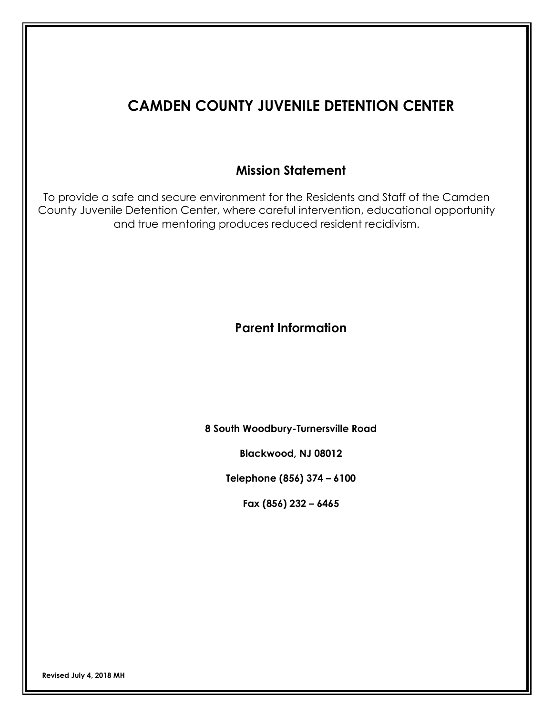# **CAMDEN COUNTY JUVENILE DETENTION CENTER**

# **Mission Statement**

To provide a safe and secure environment for the Residents and Staff of the Camden County Juvenile Detention Center, where careful intervention, educational opportunity and true mentoring produces reduced resident recidivism.

# **Parent Information**

**8 South Woodbury-Turnersville Road**

**Blackwood, NJ 08012**

**Telephone (856) 374 – 6100**

**Fax (856) 232 – 6465**

 **Revised July 4, <sup>2018</sup> MH**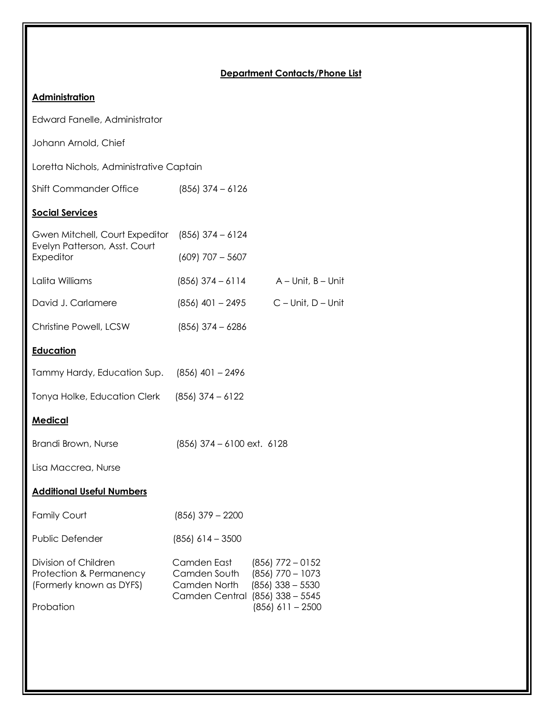### **Department Contacts/Phone List**

# **Administration**

Edward Fanelle, Administrator

Johann Arnold, Chief

Loretta Nichols, Administrative Captain

Shift Commander Office (856) 374 – 6126

### **Social Services**

| Gwen Mitchell, Court Expeditor<br>$(856)$ 374 - 6124          |                                                                                                            |  |  |  |  |  |
|---------------------------------------------------------------|------------------------------------------------------------------------------------------------------------|--|--|--|--|--|
| $(609)$ 707 - 5607                                            |                                                                                                            |  |  |  |  |  |
| $(856)$ 374 - 6114<br>$A$ – Unit, $B$ – Unit                  |                                                                                                            |  |  |  |  |  |
| (856) 401 - 2495                                              | $C$ – Unit, $D$ – Unit                                                                                     |  |  |  |  |  |
| $(856)$ 374 - 6286                                            |                                                                                                            |  |  |  |  |  |
|                                                               |                                                                                                            |  |  |  |  |  |
| $(856)$ 401 - 2496                                            |                                                                                                            |  |  |  |  |  |
| $(856)$ 374 - 6122                                            |                                                                                                            |  |  |  |  |  |
|                                                               |                                                                                                            |  |  |  |  |  |
| Brandi Brown, Nurse<br>$(856)$ 374 – 6100 ext. 6128           |                                                                                                            |  |  |  |  |  |
|                                                               |                                                                                                            |  |  |  |  |  |
|                                                               |                                                                                                            |  |  |  |  |  |
| $(856)$ 379 - 2200                                            |                                                                                                            |  |  |  |  |  |
| $(856)$ 614 - 3500                                            |                                                                                                            |  |  |  |  |  |
| Camden East<br>Camden South<br>Camden North<br>Camden Central | $(856)$ 772 - 0152<br>$(856)$ 770 - 1073<br>$(856)$ 338 - 5530<br>$(856)$ 338 - 5545<br>$(856)$ 611 - 2500 |  |  |  |  |  |
|                                                               |                                                                                                            |  |  |  |  |  |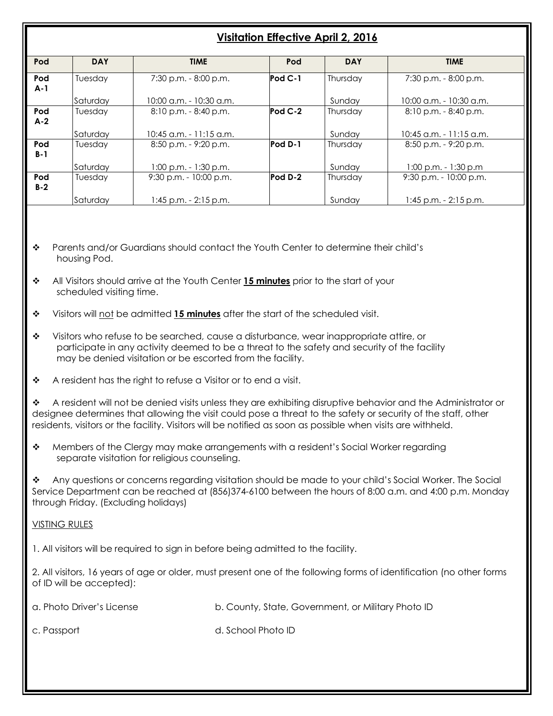# **Visitation Effective April 2, 2016**

| Pod          | <b>DAY</b> | <b>TIME</b>                | Pod       | <b>DAY</b> | <b>TIME</b>               |
|--------------|------------|----------------------------|-----------|------------|---------------------------|
| Pod<br>$A-1$ | Tuesday    | $7:30$ p.m. $-8:00$ p.m.   | $Pod C-1$ | Thursday   | 7:30 p.m. - 8:00 p.m.     |
|              | Saturdav   | 10:00 a.m. - 10:30 a.m.    |           | Sunday     | 10:00 a.m. - 10:30 a.m.   |
| Pod<br>$A-2$ | Tuesdav    | 8:10 p.m. - 8:40 p.m.      | $Pod C-2$ | Thursdav   | $8:10$ p.m. $-8:40$ p.m.  |
|              | Saturdav   | $10:45$ a.m. $-11:15$ a.m. |           | Sundav     | $10:45$ a.m. - 11:15 a.m. |
| Pod<br>$B-1$ | Tuesday    | $8:50$ p.m. $-9:20$ p.m.   | Pod D-1   | Thursday   | $8:50$ p.m. $-$ 9:20 p.m. |
|              | Saturdav   | $1:00$ p.m. $-1:30$ p.m.   |           | Sunday     | 1:00 p.m. - 1:30 p.m      |
| Pod<br>$B-2$ | Tuesday    | $9:30$ p.m. - 10:00 p.m.   | Pod D-2   | Thursday   | $9:30$ p.m. - 10:00 p.m.  |
|              | Saturdav   | $1:45$ p.m. $-2:15$ p.m.   |           | Sundav     | $1:45$ p.m. $-2:15$ p.m.  |

- v Parents and/or Guardians should contact the Youth Center to determine their child's housing Pod.
- v All Visitors should arrive at the Youth Center **15 minutes** prior to the start of your scheduled visiting time.
- v Visitors will not be admitted **15 minutes** after the start of the scheduled visit.
- $\bullet$  Visitors who refuse to be searched, cause a disturbance, wear inappropriate attire, or participate in any activity deemed to be a threat to the safety and security of the facility may be denied visitation or be escorted from the facility.
- $\bullet$  A resident has the right to refuse a Visitor or to end a visit.

 $\bullet$  A resident will not be denied visits unless they are exhibiting disruptive behavior and the Administrator or designee determines that allowing the visit could pose a threat to the safety or security of the staff, other residents, visitors or the facility. Visitors will be notified as soon as possible when visits are withheld.

 $\clubsuit$  Members of the Clergy may make arrangements with a resident's Social Worker regarding separate visitation for religious counseling.

\* Any questions or concerns regarding visitation should be made to your child's Social Worker. The Social Service Department can be reached at (856)374-6100 between the hours of 8:00 a.m. and 4:00 p.m. Monday through Friday. (Excluding holidays)

### VISTING RULES

I

1. All visitors will be required to sign in before being admitted to the facility.

2. All visitors, 16 years of age or older, must present one of the following forms of identification (no other forms of ID will be accepted):

a. Photo Driver's License b. County, State, Government, or Military Photo ID

c. Passport d. School Photo ID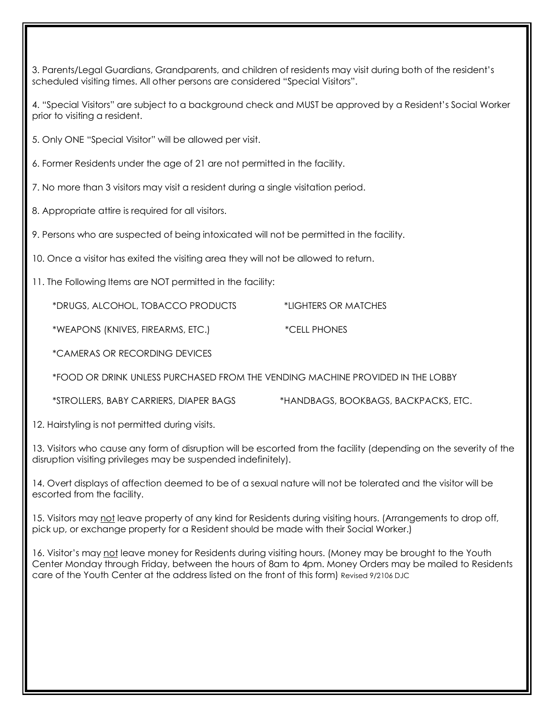3. Parents/Legal Guardians, Grandparents, and children of residents may visit during both of the resident's scheduled visiting times. All other persons are considered "Special Visitors".

4. "Special Visitors" are subject to a background check and MUST be approved by a Resident's Social Worker prior to visiting a resident.

5. Only ONE "Special Visitor" will be allowed per visit.

6. Former Residents under the age of 21 are not permitted in the facility.

7. No more than 3 visitors may visit a resident during a single visitation period.

8. Appropriate attire is required for all visitors.

9. Persons who are suspected of being intoxicated will not be permitted in the facility.

10. Once a visitor has exited the visiting area they will not be allowed to return.

11. The Following Items are NOT permitted in the facility:

\*DRUGS, ALCOHOL, TOBACCO PRODUCTS \*LIGHTERS OR MATCHES

\*WEAPONS (KNIVES, FIREARMS, ETC.) \*CELL PHONES

\*CAMERAS OR RECORDING DEVICES

\*FOOD OR DRINK UNLESS PURCHASED FROM THE VENDING MACHINE PROVIDED IN THE LOBBY

\*STROLLERS, BABY CARRIERS, DIAPER BAGS \*HANDBAGS, BOOKBAGS, BACKPACKS, ETC.

12. Hairstyling is not permitted during visits.

13. Visitors who cause any form of disruption will be escorted from the facility (depending on the severity of the disruption visiting privileges may be suspended indefinitely).

14. Overt displays of affection deemed to be of a sexual nature will not be tolerated and the visitor will be escorted from the facility.

15. Visitors may not leave property of any kind for Residents during visiting hours. (Arrangements to drop off, pick up, or exchange property for a Resident should be made with their Social Worker.)

16. Visitor's may not leave money for Residents during visiting hours. (Money may be brought to the Youth Center Monday through Friday, between the hours of 8am to 4pm. Money Orders may be mailed to Residents care of the Youth Center at the address listed on the front of this form) Revised 9/2106 DJC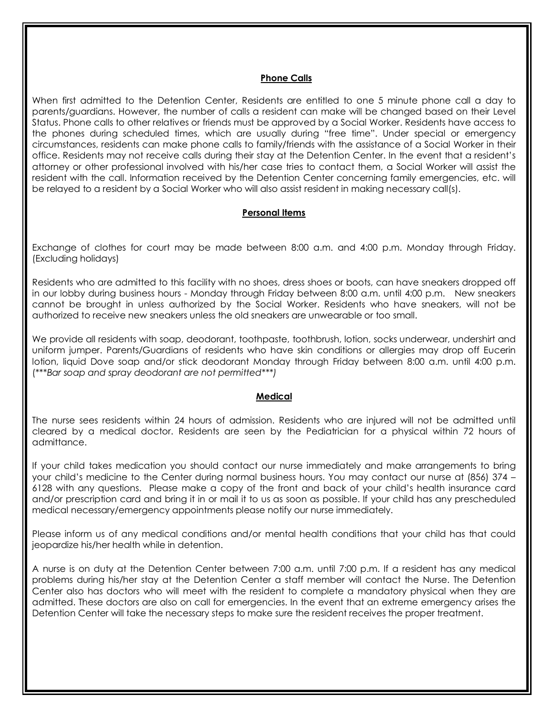#### **Phone Calls**

When first admitted to the Detention Center, Residents are entitled to one 5 minute phone call a day to parents/guardians. However, the number of calls a resident can make will be changed based on their Level Status. Phone calls to other relatives or friends must be approved by a Social Worker. Residents have access to the phones during scheduled times, which are usually during "free time". Under special or emergency circumstances, residents can make phone calls to family/friends with the assistance of a Social Worker in their office. Residents may not receive calls during their stay at the Detention Center. In the event that a resident's attorney or other professional involved with his/her case tries to contact them, a Social Worker will assist the resident with the call. Information received by the Detention Center concerning family emergencies, etc. will be relayed to a resident by a Social Worker who will also assist resident in making necessary call(s).

#### **Personal Items**

Exchange of clothes for court may be made between 8:00 a.m. and 4:00 p.m. Monday through Friday. (Excluding holidays)

Residents who are admitted to this facility with no shoes, dress shoes or boots, can have sneakers dropped off in our lobby during business hours - Monday through Friday between 8:00 a.m. until 4:00 p.m. New sneakers cannot be brought in unless authorized by the Social Worker. Residents who have sneakers, will not be authorized to receive new sneakers unless the old sneakers are unwearable or too small.

We provide all residents with soap, deodorant, toothpaste, toothbrush, lotion, socks underwear, undershirt and uniform jumper. Parents/Guardians of residents who have skin conditions or allergies may drop off Eucerin lotion, liquid Dove soap and/or stick deodorant Monday through Friday between 8:00 a.m. until 4:00 p.m. (\*\*\**Bar soap and spray deodorant are not permitted\*\*\*)*

#### **Medical**

The nurse sees residents within 24 hours of admission. Residents who are injured will not be admitted until cleared by a medical doctor. Residents are seen by the Pediatrician for a physical within 72 hours of admittance.

If your child takes medication you should contact our nurse immediately and make arrangements to bring your child's medicine to the Center during normal business hours. You may contact our nurse at (856) 374 – 6128 with any questions. Please make a copy of the front and back of your child's health insurance card and/or prescription card and bring it in or mail it to us as soon as possible. If your child has any prescheduled medical necessary/emergency appointments please notify our nurse immediately.

Please inform us of any medical conditions and/or mental health conditions that your child has that could jeopardize his/her health while in detention.

A nurse is on duty at the Detention Center between 7:00 a.m. until 7:00 p.m. If a resident has any medical problems during his/her stay at the Detention Center a staff member will contact the Nurse. The Detention Center also has doctors who will meet with the resident to complete a mandatory physical when they are admitted. These doctors are also on call for emergencies. In the event that an extreme emergency arises the Detention Center will take the necessary steps to make sure the resident receives the proper treatment.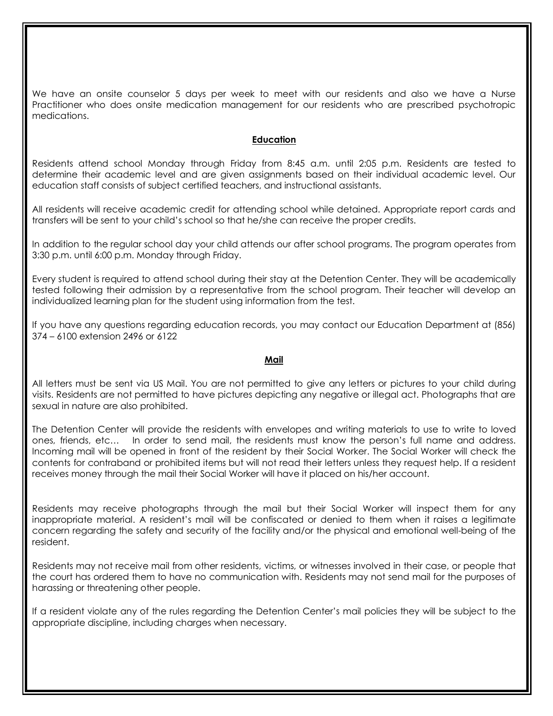We have an onsite counselor 5 days per week to meet with our residents and also we have a Nurse Practitioner who does onsite medication management for our residents who are prescribed psychotropic medications.

#### **Education**

Residents attend school Monday through Friday from 8:45 a.m. until 2:05 p.m. Residents are tested to determine their academic level and are given assignments based on their individual academic level. Our education staff consists of subject certified teachers, and instructional assistants.

All residents will receive academic credit for attending school while detained. Appropriate report cards and transfers will be sent to your child's school so that he/she can receive the proper credits.

In addition to the regular school day your child attends our after school programs. The program operates from 3:30 p.m. until 6:00 p.m. Monday through Friday.

Every student is required to attend school during their stay at the Detention Center. They will be academically tested following their admission by a representative from the school program. Their teacher will develop an individualized learning plan for the student using information from the test.

If you have any questions regarding education records, you may contact our Education Department at (856) 374 – 6100 extension 2496 or 6122

#### **Mail**

All letters must be sent via US Mail. You are not permitted to give any letters or pictures to your child during visits. Residents are not permitted to have pictures depicting any negative or illegal act. Photographs that are sexual in nature are also prohibited.

The Detention Center will provide the residents with envelopes and writing materials to use to write to loved ones, friends, etc… In order to send mail, the residents must know the person's full name and address. Incoming mail will be opened in front of the resident by their Social Worker. The Social Worker will check the contents for contraband or prohibited items but will not read their letters unless they request help. If a resident receives money through the mail their Social Worker will have it placed on his/her account.

Residents may receive photographs through the mail but their Social Worker will inspect them for any inappropriate material. A resident's mail will be confiscated or denied to them when it raises a legitimate concern regarding the safety and security of the facility and/or the physical and emotional well-being of the resident.

Residents may not receive mail from other residents, victims, or witnesses involved in their case, or people that the court has ordered them to have no communication with. Residents may not send mail for the purposes of harassing or threatening other people.

If a resident violate any of the rules regarding the Detention Center's mail policies they will be subject to the appropriate discipline, including charges when necessary.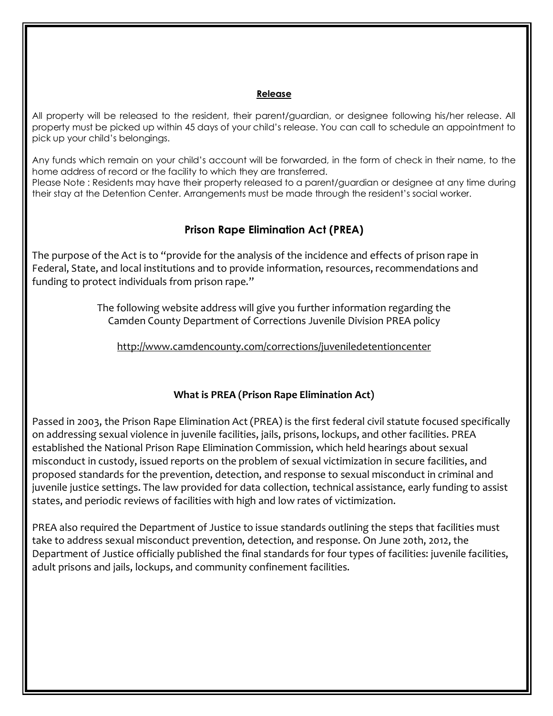#### **Release**

All property will be released to the resident, their parent/guardian, or designee following his/her release. All property must be picked up within 45 days of your child's release. You can call to schedule an appointment to pick up your child's belongings.

Any funds which remain on your child's account will be forwarded, in the form of check in their name, to the home address of record or the facility to which they are transferred.

Please Note : Residents may have their property released to a parent/guardian or designee at any time during their stay at the Detention Center. Arrangements must be made through the resident's social worker.

## **Prison Rape Elimination Act (PREA)**

The purpose of the Act is to "provide for the analysis of the incidence and effects of prison rape in Federal, State, and local institutions and to provide information, resources, recommendations and funding to protect individuals from prison rape."

> The following website address will give you further information regarding the Camden County Department of Corrections Juvenile Division PREA policy

http://www.camdencounty.com/corrections/juveniledetentioncenter

### **What is PREA (Prison Rape Elimination Act)**

Passed in 2003, the Prison Rape Elimination Act (PREA) is the first federal civil statute focused specifically on addressing sexual violence in juvenile facilities, jails, prisons, lockups, and other facilities. PREA established the National Prison Rape Elimination Commission, which held hearings about sexual misconduct in custody, issued reports on the problem of sexual victimization in secure facilities, and proposed standards for the prevention, detection, and response to sexual misconduct in criminal and juvenile justice settings. The law provided for data collection, technical assistance, early funding to assist states, and periodic reviews of facilities with high and low rates of victimization.

PREA also required the Department of Justice to issue standards outlining the steps that facilities must take to address sexual misconduct prevention, detection, and response. On June 20th, 2012, the Department of Justice officially published the final standards for four types of facilities: juvenile facilities, adult prisons and jails, lockups, and community confinement facilities.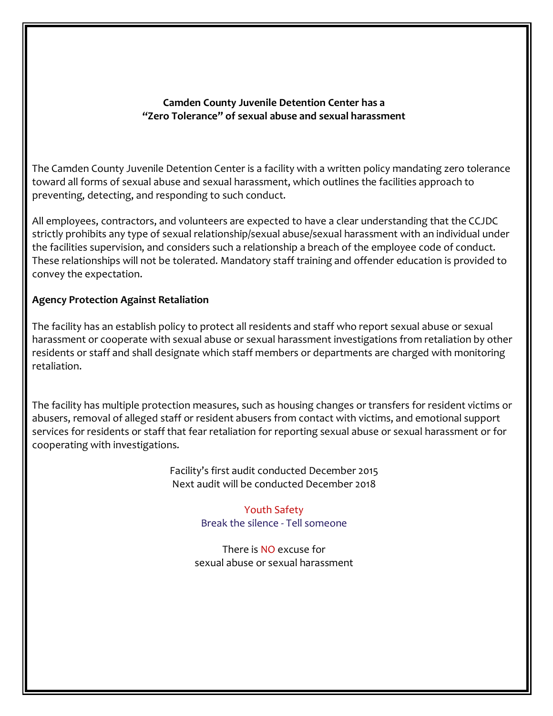### **Camden County Juvenile Detention Center has a "Zero Tolerance" of sexual abuse and sexual harassment**

The Camden County Juvenile Detention Center is a facility with a written policy mandating zero tolerance toward all forms of sexual abuse and sexual harassment, which outlines the facilities approach to preventing, detecting, and responding to such conduct.

All employees, contractors, and volunteers are expected to have a clear understanding that the CCJDC strictly prohibits any type of sexual relationship/sexual abuse/sexual harassment with an individual under the facilities supervision, and considers such a relationship a breach of the employee code of conduct. These relationships will not be tolerated. Mandatory staff training and offender education is provided to convey the expectation.

## **Agency Protection Against Retaliation**

The facility has an establish policy to protect all residents and staff who report sexual abuse or sexual harassment or cooperate with sexual abuse or sexual harassment investigations from retaliation by other residents or staff and shall designate which staff members or departments are charged with monitoring retaliation.

The facility has multiple protection measures, such as housing changes or transfers for resident victims or abusers, removal of alleged staff or resident abusers from contact with victims, and emotional support services for residents or staff that fear retaliation for reporting sexual abuse or sexual harassment or for cooperating with investigations.

> Facility's first audit conducted December 2015 Next audit will be conducted December 2018

> > Youth Safety Break the silence - Tell someone

There is NO excuse for sexual abuse or sexual harassment